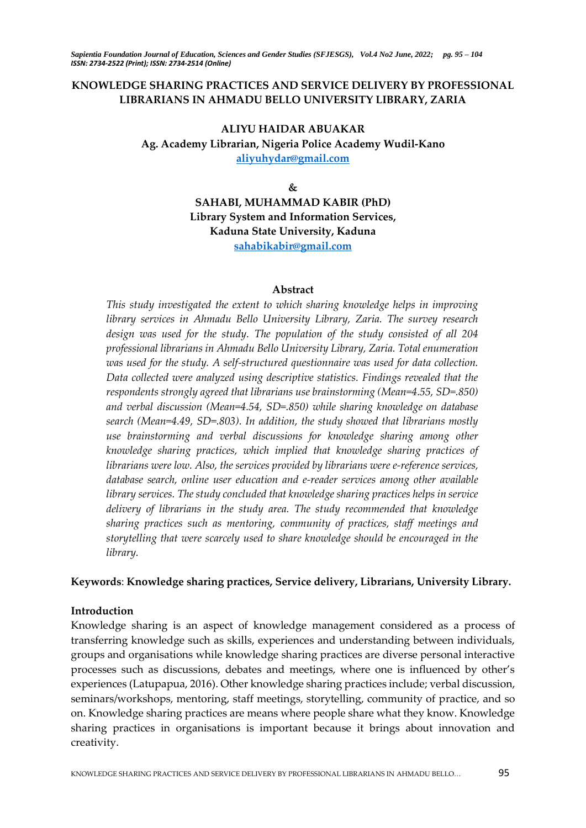## **KNOWLEDGE SHARING PRACTICES AND SERVICE DELIVERY BY PROFESSIONAL LIBRARIANS IN AHMADU BELLO UNIVERSITY LIBRARY, ZARIA**

## **ALIYU HAIDAR ABUAKAR Ag. Academy Librarian, Nigeria Police Academy Wudil-Kano [aliyuhydar@gmail.com](mailto:aliyuhydar@gmail.com)**

**&**

**SAHABI, MUHAMMAD KABIR (PhD) Library System and Information Services, Kaduna State University, Kaduna [sahabikabir@gmail.com](mailto:sahabikabir@gmail.com)**

#### **Abstract**

*This study investigated the extent to which sharing knowledge helps in improving library services in Ahmadu Bello University Library, Zaria. The survey research design was used for the study. The population of the study consisted of all 204 professional librarians in Ahmadu Bello University Library, Zaria. Total enumeration was used for the study. A self-structured questionnaire was used for data collection. Data collected were analyzed using descriptive statistics. Findings revealed that the respondents strongly agreed that librarians use brainstorming (Mean=4.55, SD=.850) and verbal discussion (Mean=4.54, SD=.850) while sharing knowledge on database search (Mean=4.49, SD=.803). In addition, the study showed that librarians mostly use brainstorming and verbal discussions for knowledge sharing among other knowledge sharing practices, which implied that knowledge sharing practices of librarians were low. Also, the services provided by librarians were e-reference services, database search, online user education and e-reader services among other available library services. The study concluded that knowledge sharing practices helps in service delivery of librarians in the study area. The study recommended that knowledge sharing practices such as mentoring, community of practices, staff meetings and storytelling that were scarcely used to share knowledge should be encouraged in the library.*

## **Keywords**: **Knowledge sharing practices, Service delivery, Librarians, University Library.**

## **Introduction**

Knowledge sharing is an aspect of knowledge management considered as a process of transferring knowledge such as skills, experiences and understanding between individuals, groups and organisations while knowledge sharing practices are diverse personal interactive processes such as discussions, debates and meetings, where one is influenced by other's experiences (Latupapua, 2016). Other knowledge sharing practices include; verbal discussion, seminars/workshops, mentoring, staff meetings, storytelling, community of practice, and so on. Knowledge sharing practices are means where people share what they know. Knowledge sharing practices in organisations is important because it brings about innovation and creativity.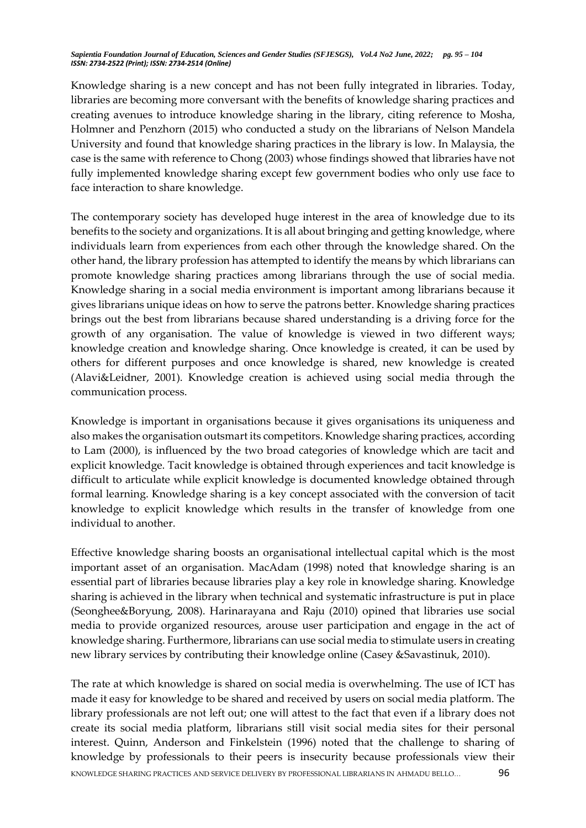Knowledge sharing is a new concept and has not been fully integrated in libraries. Today, libraries are becoming more conversant with the benefits of knowledge sharing practices and creating avenues to introduce knowledge sharing in the library, citing reference to Mosha, Holmner and Penzhorn (2015) who conducted a study on the librarians of Nelson Mandela University and found that knowledge sharing practices in the library is low. In Malaysia, the case is the same with reference to Chong (2003) whose findings showed that libraries have not fully implemented knowledge sharing except few government bodies who only use face to face interaction to share knowledge.

The contemporary society has developed huge interest in the area of knowledge due to its benefits to the society and organizations. It is all about bringing and getting knowledge, where individuals learn from experiences from each other through the knowledge shared. On the other hand, the library profession has attempted to identify the means by which librarians can promote knowledge sharing practices among librarians through the use of social media. Knowledge sharing in a social media environment is important among librarians because it gives librarians unique ideas on how to serve the patrons better. Knowledge sharing practices brings out the best from librarians because shared understanding is a driving force for the growth of any organisation. The value of knowledge is viewed in two different ways; knowledge creation and knowledge sharing. Once knowledge is created, it can be used by others for different purposes and once knowledge is shared, new knowledge is created (Alavi&Leidner, 2001). Knowledge creation is achieved using social media through the communication process.

Knowledge is important in organisations because it gives organisations its uniqueness and also makes the organisation outsmart its competitors. Knowledge sharing practices, according to Lam (2000), is influenced by the two broad categories of knowledge which are tacit and explicit knowledge. Tacit knowledge is obtained through experiences and tacit knowledge is difficult to articulate while explicit knowledge is documented knowledge obtained through formal learning. Knowledge sharing is a key concept associated with the conversion of tacit knowledge to explicit knowledge which results in the transfer of knowledge from one individual to another.

Effective knowledge sharing boosts an organisational intellectual capital which is the most important asset of an organisation. MacAdam (1998) noted that knowledge sharing is an essential part of libraries because libraries play a key role in knowledge sharing. Knowledge sharing is achieved in the library when technical and systematic infrastructure is put in place (Seonghee&Boryung, 2008). Harinarayana and Raju (2010) opined that libraries use social media to provide organized resources, arouse user participation and engage in the act of knowledge sharing. Furthermore, librarians can use social media to stimulate users in creating new library services by contributing their knowledge online (Casey &Savastinuk, 2010).

KNOWLEDGE SHARING PRACTICES AND SERVICE DELIVERY BY PROFESSIONAL LIBRARIANS IN AHMADU BELLO… 96 The rate at which knowledge is shared on social media is overwhelming. The use of ICT has made it easy for knowledge to be shared and received by users on social media platform. The library professionals are not left out; one will attest to the fact that even if a library does not create its social media platform, librarians still visit social media sites for their personal interest. Quinn, Anderson and Finkelstein (1996) noted that the challenge to sharing of knowledge by professionals to their peers is insecurity because professionals view their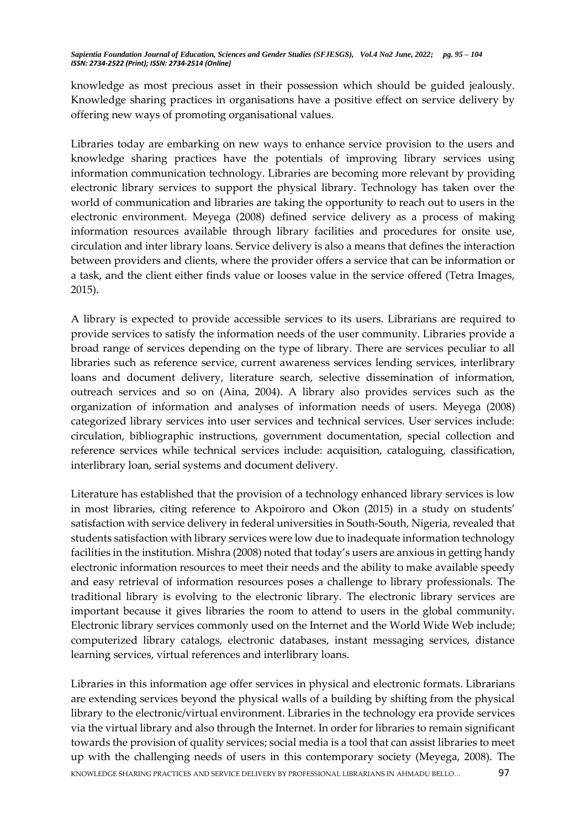knowledge as most precious asset in their possession which should be guided jealously. Knowledge sharing practices in organisations have a positive effect on service delivery by offering new ways of promoting organisational values.

Libraries today are embarking on new ways to enhance service provision to the users and knowledge sharing practices have the potentials of improving library services using information communication technology. Libraries are becoming more relevant by providing electronic library services to support the physical library. Technology has taken over the world of communication and libraries are taking the opportunity to reach out to users in the electronic environment. Meyega (2008) defined service delivery as a process of making information resources available through library facilities and procedures for onsite use, circulation and inter library loans. Service delivery is also a means that defines the interaction between providers and clients, where the provider offers a service that can be information or a task, and the client either finds value or looses value in the service offered (Tetra Images, 2015).

A library is expected to provide accessible services to its users. Librarians are required to provide services to satisfy the information needs of the user community. Libraries provide a broad range of services depending on the type of library. There are services peculiar to all libraries such as reference service, current awareness services lending services, interlibrary loans and document delivery, literature search, selective dissemination of information, outreach services and so on (Aina, 2004). A library also provides services such as the organization of information and analyses of information needs of users. Meyega (2008) categorized library services into user services and technical services. User services include: circulation, bibliographic instructions, government documentation, special collection and reference services while technical services include: acquisition, cataloguing, classification, interlibrary loan, serial systems and document delivery.

Literature has established that the provision of a technology enhanced library services is low in most libraries, citing reference to Akpoiroro and Okon (2015) in a study on students' satisfaction with service delivery in federal universities in South-South, Nigeria, revealed that students satisfaction with library services were low due to inadequate information technology facilities in the institution. Mishra (2008) noted that today's users are anxious in getting handy electronic information resources to meet their needs and the ability to make available speedy and easy retrieval of information resources poses a challenge to library professionals. The traditional library is evolving to the electronic library. The electronic library services are important because it gives libraries the room to attend to users in the global community. Electronic library services commonly used on the Internet and the World Wide Web include; computerized library catalogs, electronic databases, instant messaging services, distance learning services, virtual references and interlibrary loans.

KNOWLEDGE SHARING PRACTICES AND SERVICE DELIVERY BY PROFESSIONAL LIBRARIANS IN AHMADU BELLO… 97 Libraries in this information age offer services in physical and electronic formats. Librarians are extending services beyond the physical walls of a building by shifting from the physical library to the electronic/virtual environment. Libraries in the technology era provide services via the virtual library and also through the Internet. In order for libraries to remain significant towards the provision of quality services; social media is a tool that can assist libraries to meet up with the challenging needs of users in this contemporary society (Meyega, 2008). The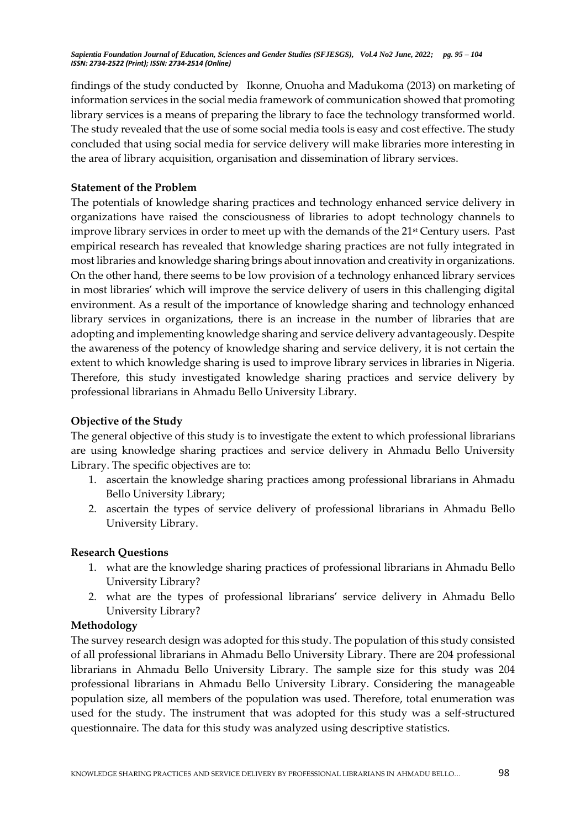findings of the study conducted by Ikonne, Onuoha and Madukoma (2013) on marketing of information services in the social media framework of communication showed that promoting library services is a means of preparing the library to face the technology transformed world. The study revealed that the use of some social media tools is easy and cost effective. The study concluded that using social media for service delivery will make libraries more interesting in the area of library acquisition, organisation and dissemination of library services.

## **Statement of the Problem**

The potentials of knowledge sharing practices and technology enhanced service delivery in organizations have raised the consciousness of libraries to adopt technology channels to improve library services in order to meet up with the demands of the 21<sup>st</sup> Century users. Past empirical research has revealed that knowledge sharing practices are not fully integrated in most libraries and knowledge sharing brings about innovation and creativity in organizations. On the other hand, there seems to be low provision of a technology enhanced library services in most libraries' which will improve the service delivery of users in this challenging digital environment. As a result of the importance of knowledge sharing and technology enhanced library services in organizations, there is an increase in the number of libraries that are adopting and implementing knowledge sharing and service delivery advantageously. Despite the awareness of the potency of knowledge sharing and service delivery, it is not certain the extent to which knowledge sharing is used to improve library services in libraries in Nigeria. Therefore, this study investigated knowledge sharing practices and service delivery by professional librarians in Ahmadu Bello University Library.

# **Objective of the Study**

The general objective of this study is to investigate the extent to which professional librarians are using knowledge sharing practices and service delivery in Ahmadu Bello University Library. The specific objectives are to:

- 1. ascertain the knowledge sharing practices among professional librarians in Ahmadu Bello University Library;
- 2. ascertain the types of service delivery of professional librarians in Ahmadu Bello University Library.

## **Research Questions**

- 1. what are the knowledge sharing practices of professional librarians in Ahmadu Bello University Library?
- 2. what are the types of professional librarians' service delivery in Ahmadu Bello University Library?

## **Methodology**

The survey research design was adopted for this study. The population of this study consisted of all professional librarians in Ahmadu Bello University Library. There are 204 professional librarians in Ahmadu Bello University Library. The sample size for this study was 204 professional librarians in Ahmadu Bello University Library. Considering the manageable population size, all members of the population was used. Therefore, total enumeration was used for the study. The instrument that was adopted for this study was a self-structured questionnaire. The data for this study was analyzed using descriptive statistics.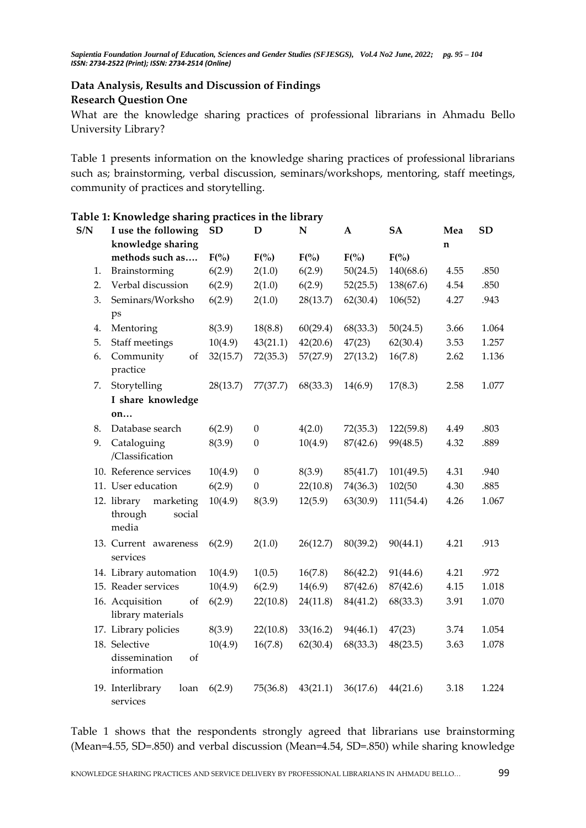# **Data Analysis, Results and Discussion of Findings Research Question One**

What are the knowledge sharing practices of professional librarians in Ahmadu Bello University Library?

Table 1 presents information on the knowledge sharing practices of professional librarians such as; brainstorming, verbal discussion, seminars/workshops, mentoring, staff meetings, community of practices and storytelling.

| S/N | I use the following<br>knowledge sharing               | <b>SD</b> | D                | $\mathbf N$ | $\mathbf A$ | SA        | Mea<br>n | <b>SD</b> |
|-----|--------------------------------------------------------|-----------|------------------|-------------|-------------|-----------|----------|-----------|
|     | methods such as                                        | F(%)      | $F(\% )$         | $F(\%)$     | $F(\% )$    | $F(\%)$   |          |           |
| 1.  | Brainstorming                                          | 6(2.9)    | 2(1.0)           | 6(2.9)      | 50(24.5)    | 140(68.6) | 4.55     | .850      |
| 2.  | Verbal discussion                                      | 6(2.9)    | 2(1.0)           | 6(2.9)      | 52(25.5)    | 138(67.6) | 4.54     | .850      |
| 3.  | Seminars/Worksho<br>ps                                 | 6(2.9)    | 2(1.0)           | 28(13.7)    | 62(30.4)    | 106(52)   | 4.27     | .943      |
| 4.  | Mentoring                                              | 8(3.9)    | 18(8.8)          | 60(29.4)    | 68(33.3)    | 50(24.5)  | 3.66     | 1.064     |
| 5.  | Staff meetings                                         | 10(4.9)   | 43(21.1)         | 42(20.6)    | 47(23)      | 62(30.4)  | 3.53     | 1.257     |
| 6.  | Community<br>of<br>practice                            | 32(15.7)  | 72(35.3)         | 57(27.9)    | 27(13.2)    | 16(7.8)   | 2.62     | 1.136     |
| 7.  | Storytelling                                           | 28(13.7)  | 77(37.7)         | 68(33.3)    | 14(6.9)     | 17(8.3)   | 2.58     | 1.077     |
|     | I share knowledge                                      |           |                  |             |             |           |          |           |
|     | on                                                     |           |                  |             |             |           |          |           |
| 8.  | Database search                                        | 6(2.9)    | $\boldsymbol{0}$ | 4(2.0)      | 72(35.3)    | 122(59.8) | 4.49     | .803      |
| 9.  | Cataloguing<br>/Classification                         | 8(3.9)    | $\boldsymbol{0}$ | 10(4.9)     | 87(42.6)    | 99(48.5)  | 4.32     | .889      |
|     | 10. Reference services                                 | 10(4.9)   | $\boldsymbol{0}$ | 8(3.9)      | 85(41.7)    | 101(49.5) | 4.31     | .940      |
|     | 11. User education                                     | 6(2.9)    | $\overline{0}$   | 22(10.8)    | 74(36.3)    | 102(50    | 4.30     | .885      |
|     | 12. library<br>marketing<br>through<br>social<br>media | 10(4.9)   | 8(3.9)           | 12(5.9)     | 63(30.9)    | 111(54.4) | 4.26     | 1.067     |
|     | 13. Current awareness<br>services                      | 6(2.9)    | 2(1.0)           | 26(12.7)    | 80(39.2)    | 90(44.1)  | 4.21     | .913      |
|     | 14. Library automation                                 | 10(4.9)   | 1(0.5)           | 16(7.8)     | 86(42.2)    | 91(44.6)  | 4.21     | .972      |
|     | 15. Reader services                                    | 10(4.9)   | 6(2.9)           | 14(6.9)     | 87(42.6)    | 87(42.6)  | 4.15     | 1.018     |
|     | 16. Acquisition<br>of<br>library materials             | 6(2.9)    | 22(10.8)         | 24(11.8)    | 84(41.2)    | 68(33.3)  | 3.91     | 1.070     |
|     | 17. Library policies                                   | 8(3.9)    | 22(10.8)         | 33(16.2)    | 94(46.1)    | 47(23)    | 3.74     | 1.054     |
|     | 18. Selective<br>dissemination<br>of<br>information    | 10(4.9)   | 16(7.8)          | 62(30.4)    | 68(33.3)    | 48(23.5)  | 3.63     | 1.078     |
|     | 19. Interlibrary<br>loan<br>services                   | 6(2.9)    | 75(36.8)         | 43(21.1)    | 36(17.6)    | 44(21.6)  | 3.18     | 1.224     |

| Table 1: Knowledge sharing practices in the library |  |  |  |
|-----------------------------------------------------|--|--|--|
|                                                     |  |  |  |

Table 1 shows that the respondents strongly agreed that librarians use brainstorming (Mean=4.55, SD=.850) and verbal discussion (Mean=4.54, SD=.850) while sharing knowledge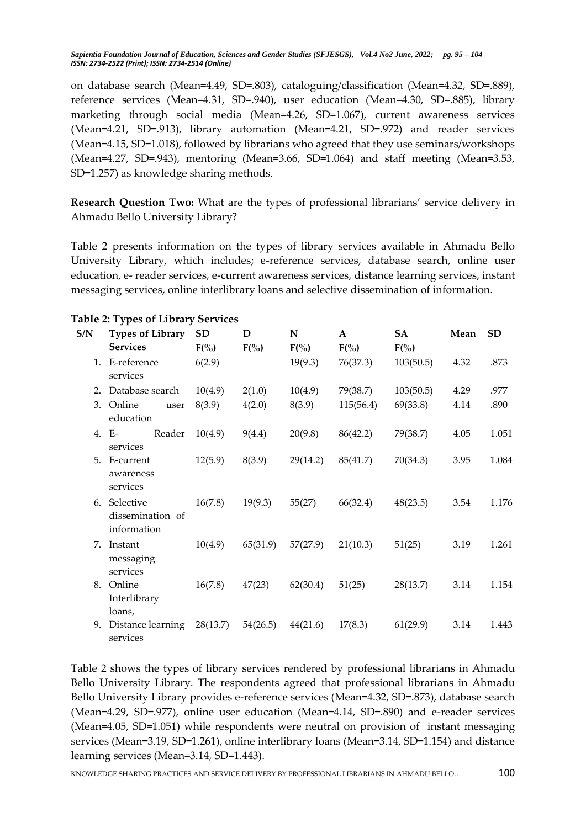on database search (Mean=4.49, SD=.803), cataloguing/classification (Mean=4.32, SD=.889), reference services (Mean=4.31, SD=.940), user education (Mean=4.30, SD=.885), library marketing through social media (Mean=4.26, SD=1.067), current awareness services (Mean=4.21, SD=.913), library automation (Mean=4.21, SD=.972) and reader services (Mean=4.15, SD=1.018), followed by librarians who agreed that they use seminars/workshops (Mean=4.27, SD=.943), mentoring (Mean=3.66, SD=1.064) and staff meeting (Mean=3.53, SD=1.257) as knowledge sharing methods.

**Research Question Two:** What are the types of professional librarians' service delivery in Ahmadu Bello University Library?

Table 2 presents information on the types of library services available in Ahmadu Bello University Library, which includes; e-reference services, database search, online user education, e- reader services, e-current awareness services, distance learning services, instant messaging services, online interlibrary loans and selective dissemination of information.

| S/N | <b>Types of Library</b><br><b>Services</b>      | <b>SD</b><br>$F(\% )$ | D<br>$F(\% )$ | N<br>$F(\% )$ | $\mathbf{A}$<br>$F(\% )$ | SA<br>$F(\%)$ | Mean | <b>SD</b> |
|-----|-------------------------------------------------|-----------------------|---------------|---------------|--------------------------|---------------|------|-----------|
|     | 1. E-reference<br>services                      | 6(2.9)                |               | 19(9.3)       | 76(37.3)                 | 103(50.5)     | 4.32 | .873      |
|     | 2. Database search                              | 10(4.9)               | 2(1.0)        | 10(4.9)       | 79(38.7)                 | 103(50.5)     | 4.29 | .977      |
|     | 3. Online<br>user<br>education                  | 8(3.9)                | 4(2.0)        | 8(3.9)        | 115(56.4)                | 69(33.8)      | 4.14 | .890      |
|     | Reader<br>4. E-<br>services                     | 10(4.9)               | 9(4.4)        | 20(9.8)       | 86(42.2)                 | 79(38.7)      | 4.05 | 1.051     |
|     | 5. E-current<br>awareness<br>services           | 12(5.9)               | 8(3.9)        | 29(14.2)      | 85(41.7)                 | 70(34.3)      | 3.95 | 1.084     |
|     | 6. Selective<br>dissemination of<br>information | 16(7.8)               | 19(9.3)       | 55(27)        | 66(32.4)                 | 48(23.5)      | 3.54 | 1.176     |
|     | 7. Instant<br>messaging<br>services             | 10(4.9)               | 65(31.9)      | 57(27.9)      | 21(10.3)                 | 51(25)        | 3.19 | 1.261     |
|     | 8. Online<br>Interlibrary<br>loans,             | 16(7.8)               | 47(23)        | 62(30.4)      | 51(25)                   | 28(13.7)      | 3.14 | 1.154     |
|     | 9. Distance learning<br>services                | 28(13.7)              | 54(26.5)      | 44(21.6)      | 17(8.3)                  | 61(29.9)      | 3.14 | 1.443     |

#### **Table 2: Types of Library Services**

Table 2 shows the types of library services rendered by professional librarians in Ahmadu Bello University Library. The respondents agreed that professional librarians in Ahmadu Bello University Library provides e-reference services (Mean=4.32, SD=.873), database search (Mean=4.29, SD=.977), online user education (Mean=4.14, SD=.890) and e-reader services (Mean=4.05, SD=1.051) while respondents were neutral on provision of instant messaging services (Mean=3.19, SD=1.261), online interlibrary loans (Mean=3.14, SD=1.154) and distance learning services (Mean=3.14, SD=1.443).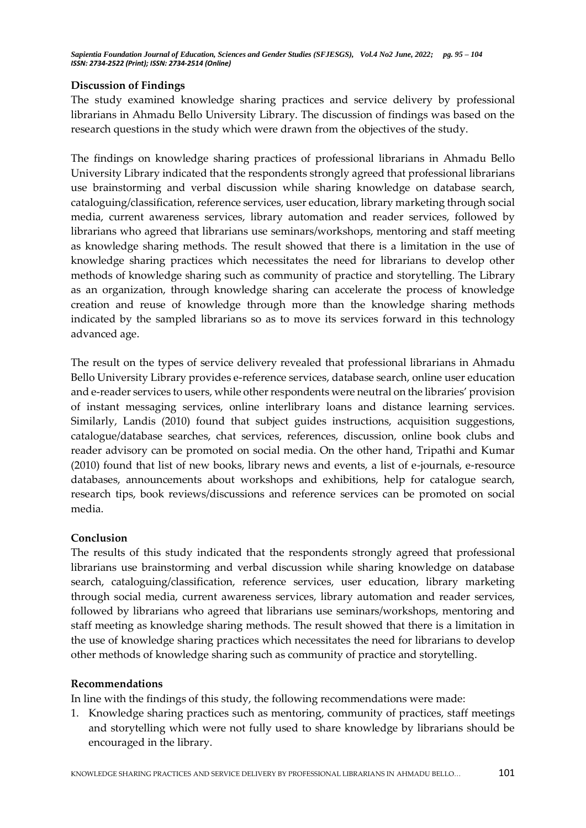## **Discussion of Findings**

The study examined knowledge sharing practices and service delivery by professional librarians in Ahmadu Bello University Library. The discussion of findings was based on the research questions in the study which were drawn from the objectives of the study.

The findings on knowledge sharing practices of professional librarians in Ahmadu Bello University Library indicated that the respondents strongly agreed that professional librarians use brainstorming and verbal discussion while sharing knowledge on database search, cataloguing/classification, reference services, user education, library marketing through social media, current awareness services, library automation and reader services, followed by librarians who agreed that librarians use seminars/workshops, mentoring and staff meeting as knowledge sharing methods. The result showed that there is a limitation in the use of knowledge sharing practices which necessitates the need for librarians to develop other methods of knowledge sharing such as community of practice and storytelling. The Library as an organization, through knowledge sharing can accelerate the process of knowledge creation and reuse of knowledge through more than the knowledge sharing methods indicated by the sampled librarians so as to move its services forward in this technology advanced age.

The result on the types of service delivery revealed that professional librarians in Ahmadu Bello University Library provides e-reference services, database search, online user education and e-reader services to users, while other respondents were neutral on the libraries' provision of instant messaging services, online interlibrary loans and distance learning services. Similarly, Landis (2010) found that subject guides instructions, acquisition suggestions, catalogue/database searches, chat services, references, discussion, online book clubs and reader advisory can be promoted on social media. On the other hand, Tripathi and Kumar (2010) found that list of new books, library news and events, a list of e-journals, e-resource databases, announcements about workshops and exhibitions, help for catalogue search, research tips, book reviews/discussions and reference services can be promoted on social media.

## **Conclusion**

The results of this study indicated that the respondents strongly agreed that professional librarians use brainstorming and verbal discussion while sharing knowledge on database search, cataloguing/classification, reference services, user education, library marketing through social media, current awareness services, library automation and reader services, followed by librarians who agreed that librarians use seminars/workshops, mentoring and staff meeting as knowledge sharing methods. The result showed that there is a limitation in the use of knowledge sharing practices which necessitates the need for librarians to develop other methods of knowledge sharing such as community of practice and storytelling.

## **Recommendations**

In line with the findings of this study, the following recommendations were made:

1. Knowledge sharing practices such as mentoring, community of practices, staff meetings and storytelling which were not fully used to share knowledge by librarians should be encouraged in the library.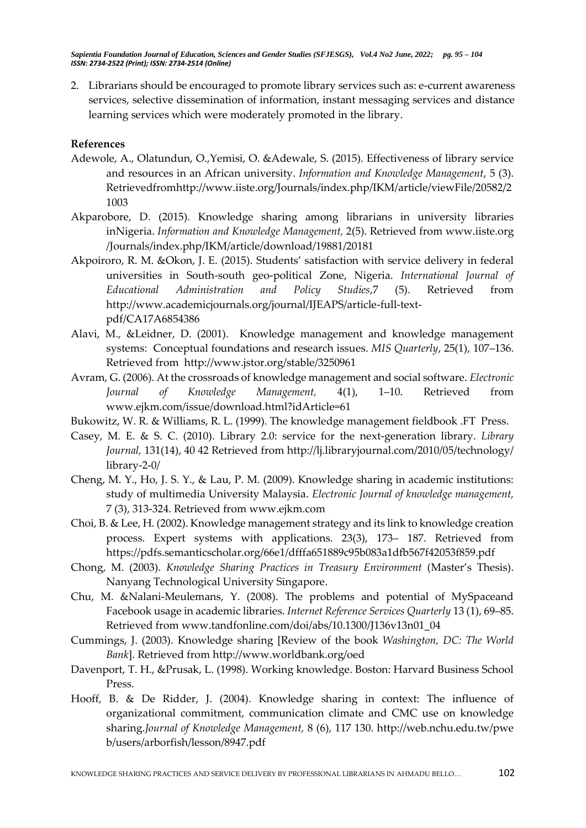2. Librarians should be encouraged to promote library services such as: e-current awareness services, selective dissemination of information, instant messaging services and distance learning services which were moderately promoted in the library.

#### **References**

- Adewole, A., Olatundun, O.,Yemisi, O. &Adewale, S. (2015). Effectiveness of library service and resources in an African university. *Information and Knowledge Management*, 5 (3). Retrievedfro[mhttp://www.iiste.org/Journals/index.php/IKM/article/viewFile/20582/2](http://www.iiste.org/Journals/index.php/IKM/article/viewFile/20582/21003) [1003](http://www.iiste.org/Journals/index.php/IKM/article/viewFile/20582/21003)
- Akparobore, D. (2015). Knowledge sharing among librarians in university libraries inNigeria. *Information and Knowledge Management,* 2(5). Retrieved from [www.iiste.](http://www.iiste/)org /Journals/index.php/IKM/article/download/19881/20181
- Akpoiroro, R. M. &Okon, J. E. (2015). Students' satisfaction with service delivery in federal universities in South-south geo-political Zone, Nigeria. *International Journal of Educational Administration and Policy Studies*,7 (5). Retrieved from http://www.academicjournals.org/journal/IJEAPS/article-full-textpdf/CA17A6854386
- Alavi, M., &Leidner, D. (2001). Knowledge management and knowledge management systems: Conceptual foundations and research issues. *MIS Quarterly*, 25(1), 107–136. Retrieved from [http://www.](http://www/)jstor.org/stable/3250961
- Avram, G. (2006). At the crossroads of knowledge management and social software. *Electronic Journal of Knowledge Management,* 4(1), 1–10. Retrieved from [www.ejkm.](http://www.ejkm/)com/issue/download.html?idArticle=61
- Bukowitz, W. R. & Williams, R. L. (1999). The knowledge management fieldbook .FT Press.
- Casey, M. E. & S. C. (2010). Library 2.0: service for the next-generation library. *Library Journal,* 131(14), 40 42 Retrieved from [http://lj.libraryjournal.com/2010/05/technology/](http://lj.libraryjournal.com/2010/05/technology/library-2-0/) [library-2-0/](http://lj.libraryjournal.com/2010/05/technology/library-2-0/)
- Cheng, M. Y., Ho, J. S. Y., & Lau, P. M. (2009). Knowledge sharing in academic institutions: study of multimedia University Malaysia. *Electronic Journal of knowledge management,* 7 (3), 313-324. Retrieved from [www.ejkm.](http://www.ejkm/)com
- Choi, B. & Lee, H. (2002). Knowledge management strategy and its link to knowledge creation process. Expert systems with applications. 23(3), 173– 187. Retrieved from [https://pdfs.](https://pdfs/)semanticscholar.org/66e1/dfffa651889c95b083a1dfb567f42053f859.pdf
- Chong, M. (2003). *Knowledge Sharing Practices in Treasury Environment* (Master's Thesis). Nanyang Technological University Singapore.
- Chu, M. &Nalani-Meulemans, Y. (2008). The problems and potential of MySpaceand Facebook usage in academic libraries. *Internet Reference Services Quarterly* 13 (1), 69–85. Retrieved from [www.tandfonline.](http://www.tandfonline/)com/doi/abs/10.1300/J136v13n01\_04
- Cummings, J. (2003). Knowledge sharing [Review of the book *Washington, DC: The World Bank*]. Retrieved from [http://www.](http://www/)worldbank.org/oed
- Davenport, T. H., &Prusak, L. (1998). Working knowledge. Boston: Harvard Business School Press.
- Hooff, B. & De Ridder, J. (2004). Knowledge sharing in context: The influence of organizational commitment, communication climate and CMC use on knowledge sharing.*Journal of Knowledge Management,* 8 (6), 117 130. [http://web.nchu.edu.tw/pwe](http://web.nchu.edu.tw/pweb/users/arborfish/lesson/8947.pdf) [b/users/arborfish/lesson/8947.pdf](http://web.nchu.edu.tw/pweb/users/arborfish/lesson/8947.pdf)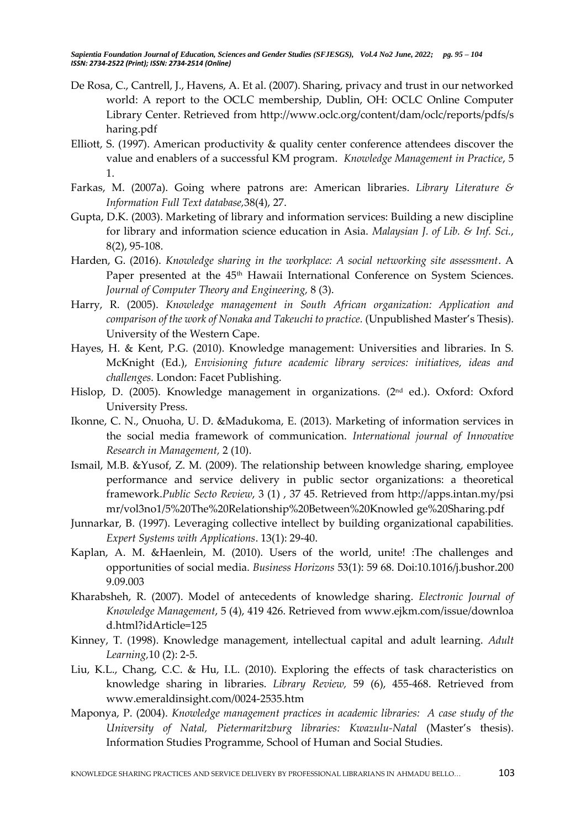- De Rosa, C., Cantrell, J., Havens, A. Et al. (2007). Sharing, privacy and trust in our networked world: A report to the OCLC membership, Dublin, OH: OCLC Online Computer Library Center. Retrieved from [http://www.](http://www/)oclc.org/content/dam/oclc/reports/pdfs/s haring.pdf
- Elliott, S. (1997). American productivity & quality center conference attendees discover the value and enablers of a successful KM program. *Knowledge Management in Practice*, 5 1.
- Farkas, M. (2007a). Going where patrons are: American libraries. *Library Literature & Information Full Text database,*38(4), 27.
- Gupta, D.K. (2003). Marketing of library and information services: Building a new discipline for library and information science education in Asia. *Malaysian J. of Lib. & Inf. Sci.*, 8(2), 95-108.
- Harden, G. (2016). *Knowledge sharing in the workplace: A social networking site assessment*. A Paper presented at the 45<sup>th</sup> Hawaii International Conference on System Sciences. *Journal of Computer Theory and Engineering,* 8 (3).
- Harry, R. (2005). *Knowledge management in South African organization: Application and comparison of the work of Nonaka and Takeuchi to practice.* (Unpublished Master's Thesis). University of the Western Cape.
- Hayes, H. & Kent, P.G. (2010). Knowledge management: Universities and libraries. In S. McKnight (Ed.), *Envisioning future academic library services: initiatives, ideas and challenges.* London: Facet Publishing.
- Hislop, D. (2005). Knowledge management in organizations. (2<sup>nd</sup> ed.). Oxford: Oxford University Press.
- Ikonne, C. N., Onuoha, U. D. &Madukoma, E. (2013). Marketing of information services in the social media framework of communication. *International journal of Innovative Research in Management,* 2 (10).
- Ismail, M.B. &Yusof, Z. M. (2009). The relationship between knowledge sharing, employee performance and service delivery in public sector organizations: a theoretical framework.*Public Secto Review*, 3 (1) , 37 45. Retrieved from [http://apps.intan.my/psi](http://apps.intan.my/psimr/vol3no1/5%20The%20Relationship%20Between%20Knowled) [mr/vol3no1/5%20The%20Relationship%20Between%20Knowled](http://apps.intan.my/psimr/vol3no1/5%20The%20Relationship%20Between%20Knowled) ge%20Sharing.pdf
- Junnarkar, B. (1997). Leveraging collective intellect by building organizational capabilities. *Expert Systems with Applications*. 13(1): 29-40.
- Kaplan, A. M. &Haenlein, M. (2010). Users of the world, unite! :The challenges and opportunities of social media. *Business Horizons* 53(1): 59 68. Doi:10.1016/j.bushor.200 9.09.003
- Kharabsheh, R. (2007). Model of antecedents of knowledge sharing. *Electronic Journal of Knowledge Management*, 5 (4), 419 426. Retrieved from [www.ejkm.](http://www.ejkm/)com/issue/downloa d.html?idArticle=125
- Kinney, T. (1998). Knowledge management, intellectual capital and adult learning. *Adult Learning,*10 (2): 2-5.
- Liu, K.L., Chang, C.C. & Hu, I.L. (2010). Exploring the effects of task characteristics on knowledge sharing in libraries. *Library Review,* 59 (6), 455-468. Retrieved from [www.emeraldinsight.com/0024-2535.htm](http://www.emeraldinsight.com/0024-2535.htm)
- Maponya, P. (2004). *Knowledge management practices in academic libraries: A case study of the University of Natal, Pietermaritzburg libraries: Kwazulu-Natal* (Master's thesis). Information Studies Programme, School of Human and Social Studies.